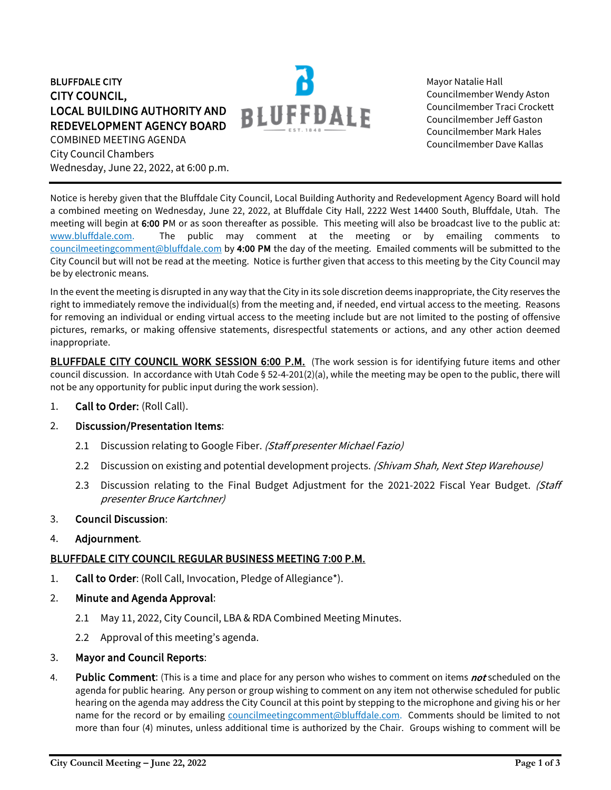BLUFFDALE CITY CITY COUNCIL, LOCAL BUILDING AUTHORITY AND REDEVELOPMENT AGENCY BOARD COMBINED MEETING AGENDA City Council Chambers Wednesday, June 22, 2022, at 6:00 p.m.



Mayor Natalie Hall Councilmember Wendy Aston Councilmember Traci Crockett Councilmember Jeff Gaston Councilmember Mark Hales Councilmember Dave Kallas

Notice is hereby given that the Bluffdale City Council, Local Building Authority and Redevelopment Agency Board will hold a combined meeting on Wednesday, June 22, 2022, at Bluffdale City Hall, 2222 West 14400 South, Bluffdale, Utah. The meeting will begin at 6:00 PM or as soon thereafter as possible. This meeting will also be broadcast live to the public at: [www.bluffdale.com.](http://www.bluffdale.com/) The public may comment at the meeting or by emailing comments to [councilmeetingcomment@bluffdale.com](mailto:councilmeetingcomment@bluffdale.com) by 4:00 PM the day of the meeting. Emailed comments will be submitted to the City Council but will not be read at the meeting. Notice is further given that access to this meeting by the City Council may be by electronic means.

In the event the meeting is disrupted in any way that the City in its sole discretion deems inappropriate, the City reserves the right to immediately remove the individual(s) from the meeting and, if needed, end virtual access to the meeting. Reasons for removing an individual or ending virtual access to the meeting include but are not limited to the posting of offensive pictures, remarks, or making offensive statements, disrespectful statements or actions, and any other action deemed inappropriate.

BLUFFDALE CITY COUNCIL WORK SESSION 6:00 P.M. (The work session is for identifying future items and other council discussion. In accordance with Utah Code § 52-4-201(2)(a), while the meeting may be open to the public, there will not be any opportunity for public input during the work session).

1. Call to Order: (Roll Call).

### 2. Discussion/Presentation Items:

- 2.1 Discussion relating to Google Fiber. (Staff presenter Michael Fazio)
- 2.2 Discussion on existing and potential development projects. (Shivam Shah, Next Step Warehouse)
- 2.3 Discussion relating to the Final Budget Adjustment for the 2021-2022 Fiscal Year Budget. (Staff presenter Bruce Kartchner)
- 3. Council Discussion:
- 4. Adjournment.

### BLUFFDALE CITY COUNCIL REGULAR BUSINESS MEETING 7:00 P.M.

- 1. Call to Order: (Roll Call, Invocation, Pledge of Allegiance\*).
- 2. Minute and Agenda Approval:
	- 2.1 May 11, 2022, City Council, LBA & RDA Combined Meeting Minutes.
	- 2.2 Approval of this meeting's agenda.
- 3. Mayor and Council Reports:
- 4. Public Comment: (This is a time and place for any person who wishes to comment on items not scheduled on the agenda for public hearing. Any person or group wishing to comment on any item not otherwise scheduled for public hearing on the agenda may address the City Council at this point by stepping to the microphone and giving his or her name for the record or by emailing [councilmeetingcomment@bluffdale.com.](mailto:councilmeetingcomment@bluffdale.com) Comments should be limited to not more than four (4) minutes, unless additional time is authorized by the Chair. Groups wishing to comment will be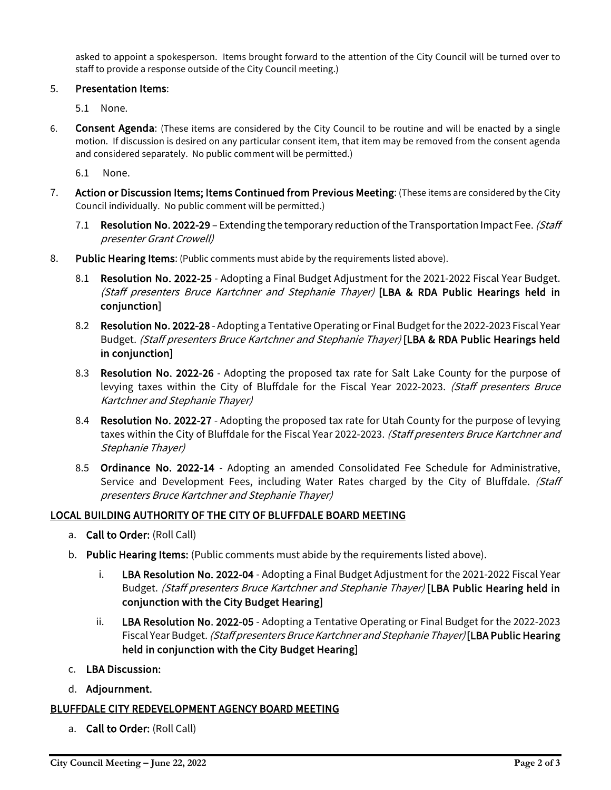asked to appoint a spokesperson. Items brought forward to the attention of the City Council will be turned over to staff to provide a response outside of the City Council meeting.)

## 5. Presentation Items:

5.1 None.

6. Consent Agenda: (These items are considered by the City Council to be routine and will be enacted by a single motion. If discussion is desired on any particular consent item, that item may be removed from the consent agenda and considered separately. No public comment will be permitted.)

6.1 None.

- 7. Action or Discussion Items; Items Continued from Previous Meeting: (These items are considered by the City Council individually. No public comment will be permitted.)
	- 7.1 Resolution No. 2022-29 Extending the temporary reduction of the Transportation Impact Fee. (Staff presenter Grant Crowell)
- 8. Public Hearing Items: (Public comments must abide by the requirements listed above).
	- 8.1 Resolution No. 2022-25 Adopting a Final Budget Adjustment for the 2021-2022 Fiscal Year Budget. (Staff presenters Bruce Kartchner and Stephanie Thayer) [LBA & RDA Public Hearings held in conjunction]
	- 8.2 Resolution No. 2022-28 Adopting a Tentative Operating or Final Budget for the 2022-2023 Fiscal Year Budget. (Staff presenters Bruce Kartchner and Stephanie Thayer) [LBA & RDA Public Hearings held in conjunction]
	- 8.3 Resolution No. 2022-26 Adopting the proposed tax rate for Salt Lake County for the purpose of levying taxes within the City of Bluffdale for the Fiscal Year 2022-2023. (Staff presenters Bruce Kartchner and Stephanie Thayer)
	- 8.4 Resolution No. 2022-27 Adopting the proposed tax rate for Utah County for the purpose of levying taxes within the City of Bluffdale for the Fiscal Year 2022-2023. (Staff presenters Bruce Kartchner and Stephanie Thayer)
	- 8.5 Ordinance No. 2022-14 Adopting an amended Consolidated Fee Schedule for Administrative, Service and Development Fees, including Water Rates charged by the City of Bluffdale. (Staff presenters Bruce Kartchner and Stephanie Thayer)

# LOCAL BUILDING AUTHORITY OF THE CITY OF BLUFFDALE BOARD MEETING

- a. Call to Order: (Roll Call)
- b. Public Hearing Items: (Public comments must abide by the requirements listed above).
	- i. LBA Resolution No. 2022-04 Adopting a Final Budget Adjustment for the 2021-2022 Fiscal Year Budget. (Staff presenters Bruce Kartchner and Stephanie Thayer) [LBA Public Hearing held in conjunction with the City Budget Hearing]
	- ii. LBA Resolution No. 2022-05 Adopting a Tentative Operating or Final Budget for the 2022-2023 Fiscal Year Budget. (Staff presenters Bruce Kartchner and Stephanie Thayer) [LBA Public Hearing held in conjunction with the City Budget Hearing]
- c. LBA Discussion:
- d. Adjournment.

### BLUFFDALE CITY REDEVELOPMENT AGENCY BOARD MEETING

a. Call to Order: (Roll Call)